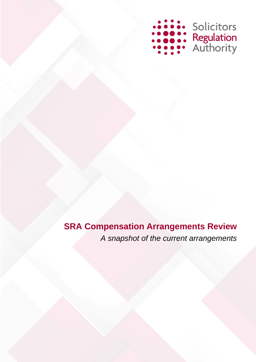

# **SRA Compensation Arrangements Review** *A snapshot of the current arrangements*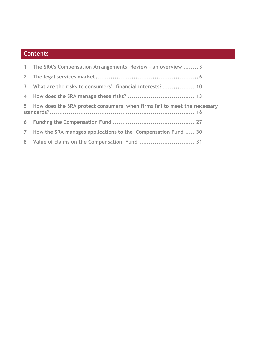# **Contents**

| 1 The SRA's Compensation Arrangements Review - an overview  3              |
|----------------------------------------------------------------------------|
|                                                                            |
| 3 What are the risks to consumers' financial interests? 10                 |
|                                                                            |
| 5 How does the SRA protect consumers when firms fail to meet the necessary |
|                                                                            |
| 7 How the SRA manages applications to the Compensation Fund  30            |
| 8 Value of claims on the Compensation Fund  31                             |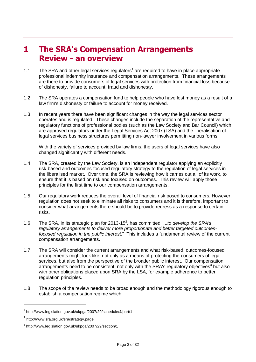# <span id="page-2-0"></span>**1 The SRA's Compensation Arrangements Review - an overview**

- 1.1 The SRA and other legal services regulators<sup>1</sup> are required to have in place appropriate professional indemnity insurance and compensation arrangements. These arrangements are there to provide consumers of legal services with protection from financial loss because of dishonesty, failure to account, fraud and dishonesty.
- 1.2 The SRA operates a compensation fund to help people who have lost money as a result of a law firm's dishonesty or failure to account for money received.
- 1.3 In recent years there have been significant changes in the way the legal services sector operates and is regulated. These changes include the separation of the representative and regulatory functions of professional bodies (such as the Law Society and Bar Council) which are approved regulators under the Legal Services Act 2007 (LSA) and the liberalisation of legal services business structures permitting non-lawyer involvement in various forms.

With the variety of services provided by law firms, the users of legal services have also changed significantly with different needs.

- 1.4 The SRA, created by the Law Society, is an independent regulator applying an explicitly risk-based and outcomes-focused regulatory strategy to the regulation of legal services in the liberalised market. Over time, the SRA is reviewing how it carries out all of its work, to ensure that it is based on risk and focused on outcomes. This review will apply those principles for the first time to our compensation arrangements.
- 1.5 Our regulatory work reduces the overall level of financial risk posed to consumers. However, regulation does not seek to eliminate all risks to consumers and it is therefore, important to consider what arrangements there should be to provide redress as a response to certain risks.
- 1.6 The SRA, in its strategic plan for 2013-15<sup>2</sup>, has committed "...to develop the SRA's *regulatory arrangements to deliver more proportionate and better targeted outcomesfocused regulation in the public interest*." This includes a fundamental review of the current compensation arrangements.
- 1.7 The SRA will consider the current arrangements and what risk-based, outcomes-focused arrangements might look like, not only as a means of protecting the consumers of legal services, but also from the perspective of the broader public interest. Our compensation arrangements need to be consistent, not only with the SRA's regulatory objectives<sup>3</sup> but also with other obligations placed upon SRA by the LSA, for example adherence to better regulation principles.
- 1.8 The scope of the review needs to be broad enough and the methodology rigorous enough to establish a compensation regime which:

 $\overline{a}$ 

<sup>1</sup> http://www.legislation.gov.uk/ukpga/2007/29/schedule/4/part/1

<sup>&</sup>lt;sup>2</sup> http://www.sra.org.uk/sra/strategy.page

<sup>3</sup> http://www.legislation.gov.uk/ukpga/2007/29/section/1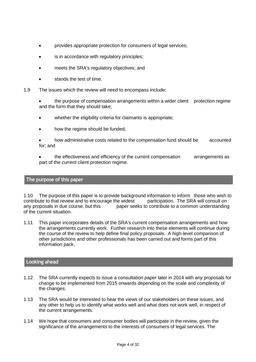- provides appropriate protection for consumers of legal services;
- is in accordance with regulatory principles;
- meets the SRA's regulatory objectives; and
- stands the test of time.
- 1.9 The issues which the review will need to encompass include:
	- the purpose of compensation arrangements within a wider client protection regime and the form that they should take;
	- whether the eligibility criteria for claimants is appropriate;
	- how the regime should be funded;
	- how administrative costs related to the compensation fund should be accounted for; and
	- the effectiveness and efficiency of the current compensation arrangements as part of the current client protection regime.

#### **The purpose of this paper**

1.10 The purpose of this paper is to provide background information to inform those who wish to contribute to that review and to encourage the widest participation. The SRA will consult on any proposals in due course, but this paper seeks to contribute to a common understanding of the current situation.

1.11 This paper incorporates details of the SRA's current compensation arrangements and how the arrangements currently work. Further research into these elements will continue during the course of the review to help define final policy proposals. A high-level comparison of other jurisdictions and other professionals has been carried out and forms part of this information pack.

### **Looking ahead**

- 1.12 The SRA currently expects to issue a consultation paper later in 2014 with any proposals for change to be implemented from 2015 onwards depending on the scale and complexity of the changes.
- 1.13 The SRA would be interested to hear the views of our stakeholders on these issues, and any other to help us to identify what works well and what does not work well, in respect of the current arrangements.
- 1.14 We hope that consumers and consumer bodies will participate in the review, given the significance of the arrangements to the interests of consumers of legal services. The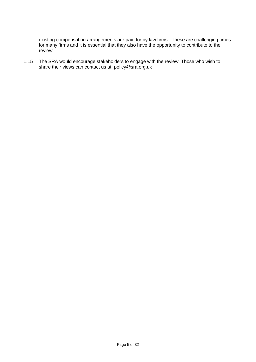existing compensation arrangements are paid for by law firms. These are challenging times for many firms and it is essential that they also have the opportunity to contribute to the review.

1.15 The SRA would encourage stakeholders to engage with the review. Those who wish to share their views can contact us at: policy@sra.org.uk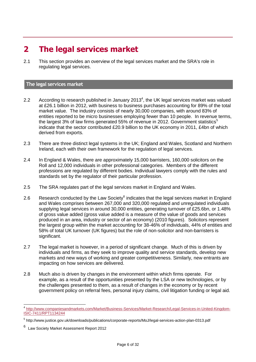# <span id="page-5-0"></span>**2 The legal services market**

2.1 This section provides an overview of the legal services market and the SRA's role in regulating legal services.

### **The legal services market**

- 2.2 According to research published in January 2013<sup>4</sup>, the UK legal services market was valued at £26.1 billion in 2012, with business to business purchases accounting for 89% of the total market value. The industry consists of nearly 30,000 companies, with around 83% of entities reported to be micro businesses employing fewer than 10 people. In revenue terms, the largest 3% of law firms generated 55% of revenue in 2012. Government statistics<sup>5</sup> indicate that the sector contributed £20.9 billion to the UK economy in 2011, £4bn of which derived from exports.
- 2.3 There are three distinct legal systems in the UK; England and Wales, Scotland and Northern Ireland, each with their own framework for the regulation of legal services.
- 2.4 In England & Wales, there are approximately 15,000 barristers, 160,000 solicitors on the Roll and 12,000 individuals in other professional categories. Members of the different professions are regulated by different bodies. Individual lawyers comply with the rules and standards set by the regulator of their particular profession.
- 2.5 The SRA regulates part of the legal services market in England and Wales.
- 2.6 Research conducted by the Law Society $^6$  indicates that the legal services market in England and Wales comprises between 267,000 and 320,000 regulated and unregulated individuals supplying legal services in around 30,000 entities, generating turnover of £25.6bn, or 1.48% of gross value added (gross value added is a measure of the value of goods and services produced in an area, industry or sector of an economy) (2010 figures). Solicitors represent the largest group within the market accounting for 38-46% of individuals, 44% of entities and 58% of total UK turnover (UK figures) but the role of non-solicitor and non-barristers is significant.
- 2.7 The legal market is however, in a period of significant change. Much of this is driven by individuals and firms, as they seek to improve quality and service standards, develop new markets and new ways of working and greater competitiveness. Similarly, new entrants are impacting on how services are delivered.
- 2.8 Much also is driven by changes in the environment within which firms operate. For example, as a result of the opportunities presented by the LSA or new technologies, or by the challenges presented to them, as a result of changes in the economy or by recent government policy on referral fees, personal injury claims, civil litigation funding or legal aid.

 4 [http://www.companiesandmarkets.com/Market/Business-Services/Market-Research/Legal-Services-in-United-Kingdom-](http://www.companiesandmarkets.com/Market/Business-Services/Market-Research/Legal-Services-in-United-Kingdom-ISIC-7411/RPT1134244)[ISIC-7411/RPT1134244](http://www.companiesandmarkets.com/Market/Business-Services/Market-Research/Legal-Services-in-United-Kingdom-ISIC-7411/RPT1134244)

<sup>&</sup>lt;sup>5</sup> http://www.justice.gov.uk/downloads/publications/corporate-reports/MoJ/legal-services-action-plan-0313.pdf

<sup>6</sup> Law Society Market Assessment Report 2012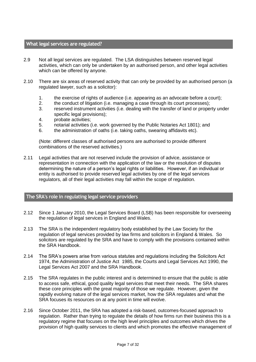#### **What legal services are regulated?**

- 2.9 Not all legal services are regulated. The LSA distinguishes between reserved legal activities, which can only be undertaken by an authorised person, and other legal activities which can be offered by anyone.
- 2.10 There are six areas of reserved activity that can only be provided by an authorised person (a regulated lawyer, such as a solicitor):
	- 1. the exercise of rights of audience (i.e. appearing as an advocate before a court);
	- 2. the conduct of litigation (i.e. managing a case through its court processes);
	- 3. reserved instrument activities (i.e. dealing with the transfer of land or property under specific legal provisions):
	- 4. probate activities;
	- 5. notarial activities (i.e. work governed by the Public Notaries Act 1801); and
	- 6. the administration of oaths (i.e. taking oaths, swearing affidavits etc).

(Note: different classes of authorised persons are authorised to provide different combinations of the reserved activities.)

2.11 Legal activities that are not reserved include the provision of advice, assistance or representation in connection with the application of the law or the resolution of disputes determining the nature of a person's legal rights or liabilities. However, if an individual or entity is authorised to provide reserved legal activities by one of the legal services regulators, all of their legal activities may fall within the scope of regulation.

### **The SRA's role in regulating legal service providers**

- 2.12 Since 1 January 2010, the Legal Services Board (LSB) has been responsible for overseeing the regulation of legal services in England and Wales.
- 2.13 The SRA is the independent regulatory body established by the Law Society for the regulation of legal services provided by law firms and solicitors in England & Wales. So solicitors are regulated by the SRA and have to comply with the provisions contained within the SRA Handbook.
- 2.14 The SRA's powers arise from various statutes and regulations including the Solicitors Act 1974, the Administration of Justice Act 1985, the Courts and Legal Services Act 1990, the Legal Services Act 2007 and the SRA Handbook.
- 2.15 The SRA regulates in the public interest and is determined to ensure that the public is able to access safe, ethical, good quality legal services that meet their needs. The SRA shares these core principles with the great majority of those we regulate. However, given the rapidly evolving nature of the legal services market, how the SRA regulates and what the SRA focuses its resources on at any point in time will evolve.
- 2.16 Since October 2011, the SRA has adopted a risk-based, outcomes-focused approach to regulation. Rather than trying to regulate the details of how firms run their business this is a regulatory regime that focuses on the high level principles and outcomes which drives the provision of high quality services to clients and which promotes the effective management of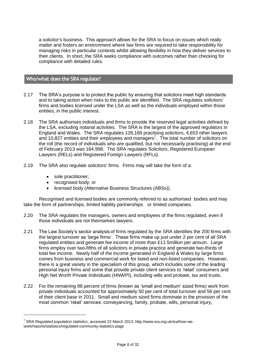a solicitor's business. This approach allows for the SRA to focus on issues which really matter and fosters an environment where law firms are required to take responsibility for managing risks in particular contexts whilst allowing flexibility in how they deliver services to their clients. In short, the SRA seeks compliance with outcomes rather than checking for compliance with detailed rules.

#### **Who/what does the SRA regulate?**

- 2.17 The SRA's purpose is to protect the public by ensuring that solicitors meet high standards and to taking action when risks to the public are identified. The SRA regulates solicitors' firms and bodies licensed under the LSA as well as the individuals employed within those entities, in the public interest.
- 2.18 The SRA authorises individuals and firms to provide the reserved legal activities defined by the LSA, excluding notarial activities. The SRA is the largest of the approved regulators in England and Wales. The SRA regulates 128,169 practising solicitors, 4,653 other lawyers and 10,827 entities and their employees and managers<sup>7</sup>. The total number of solicitors on the roll (the record of individuals who are qualified, but not necessarily practising) at the end of February 2013 was 164,998. The SRA regulates Solicitors, Registered European Lawyers (RELs) and Registered Foreign Lawyers (RFLs).
- 2.19 The SRA also regulate solicitors' firms. Firms may will take the form of a:
	- sole practitioner;

- recognised body; or
- licensed body (Alternative Business Structures (ABSs)).

Recognised and licensed bodies are commonly referred to as authorised bodies and may take the form of partnerships, limited liability partnerships or limited companies.

- 2.20 The SRA regulates the managers, owners and employees of the firms regulated, even if those individuals are not themselves lawyers.
- 2.21 The Law Society's sector analysis of firms regulated by the SRA identifies the 200 firms with the largest turnover as 'large firms'. These firms make up just under 2 per cent of all SRA regulated entities and generate fee income of more than £11.5million per annum. Large firms employ over two-fifths of all solicitors in private practice and generate two-thirds of total fee income. Nearly half of the income generated in England & Wales by large firms comes from business and commercial work for listed and non-listed companies. However, there is a great variety in the specialism of this group, which includes some of the leading personal injury firms and some that provide private client services to 'retail' consumers and High Net Worth Private Individuals (HNWPI), including wills and probate, tax and trusts.
- 2.22 For the remaining 98 percent of firms (known as 'small and medium' sized firms) work from private individuals accounted for approximately 50 per cent of total turnover and 56 per cent of their client base in 2011. Small and medium sized firms dominate in the provision of the most common 'retail' services: conveyancing, family, probate, wills, personal injury,

<sup>7</sup> SRA *Regulated population statistics*, accessed 22 March 2013. http://www.sra.org.uk/sra/how-wework/reports/statistics/regulated-community-statistics.page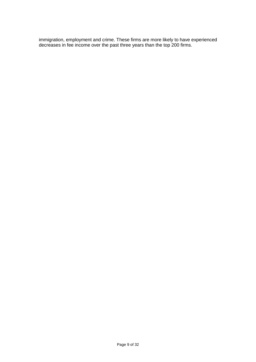immigration, employment and crime. These firms are more likely to have experienced decreases in fee income over the past three years than the top 200 firms.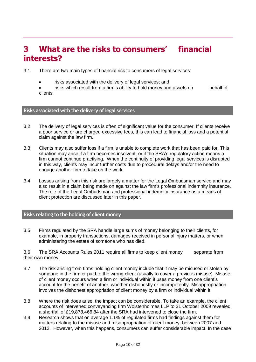# <span id="page-9-0"></span>**3 What are the risks to consumers' financial interests?**

- 3.1 There are two main types of financial risk to consumers of legal services:
	- risks associated with the delivery of legal services; and
	- risks which result from a firm's ability to hold money and assets on behalf of clients.

### **Risks associated with the delivery of legal services**

- 3.2 The delivery of legal services is often of significant value for the consumer. If clients receive a poor service or are charged excessive fees, this can lead to financial loss and a potential claim against the law firm.
- 3.3 Clients may also suffer loss if a firm is unable to complete work that has been paid for. This situation may arise if a firm becomes insolvent, or if the SRA's regulatory action means a firm cannot continue practising. When the continuity of providing legal services is disrupted in this way, clients may incur further costs due to procedural delays and/or the need to engage another firm to take on the work.
- 3.4 Losses arising from this risk are largely a matter for the Legal Ombudsman service and may also result in a claim being made on against the law firm's professional indemnity insurance. The role of the Legal Ombudsman and professional indemnity insurance as a means of client protection are discussed later in this paper.

# **Risks relating to the holding of client money**

3.5 Firms regulated by the SRA handle large sums of money belonging to their clients, for example, in property transactions, damages received in personal injury matters, or when administering the estate of someone who has died.

3.6 The SRA Accounts Rules 2011 require all firms to keep client money separate from their own money.

- 3.7 The risk arising from firms holding client money include that it may be misused or stolen by someone in the firm or paid to the wrong client (usually to cover a previous misuse). Misuse of client money occurs when a firm or individual within it uses money from one client's account for the benefit of another, whether dishonestly or incompetently. Misappropriation involves the dishonest appropriation of client money by a firm or individual within it.
- 3.8 Where the risk does arise, the impact can be considerable. To take an example, the client accounts of intervened conveyancing firm Wolstenholmes LLP to 31 October 2009 revealed a shortfall of £19,878,466.84 after the SRA had intervened to close the firm.
- 3.9 Research shows that on average 1.1% of regulated firms had findings against them for matters relating to the misuse and misappropriation of client money, between 2007 and 2012. However, when this happens, consumers can suffer considerable impact. In the case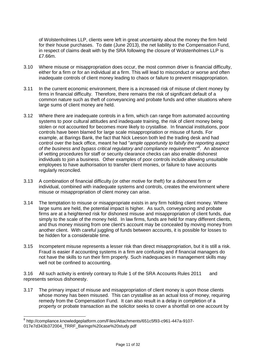of Wolstenholmes LLP, clients were left in great uncertainty about the money the firm held for their house purchases. To date (June 2013), the net liability to the Compensation Fund, in respect of claims dealt with by the SRA following the closure of Wolstenholmes LLP is £7.66m.

- 3.10 Where misuse or misappropriation does occur, the most common driver is financial difficulty, either for a firm or for an individual at a firm. This will lead to misconduct or worse and often inadequate controls of client money leading to chaos or failure to prevent misappropriation.
- 3.11 In the current economic environment, there is a increased risk of misuse of client money by firms in financial difficulty. Therefore, there remains the risk of significant default of a common nature such as theft of conveyancing and probate funds and other situations where large sums of client money are held.
- 3.12 Where there are inadequate controls in a firm, which can range from automated accounting systems to poor cultural attitudes and inadequate training, the risk of client money being stolen or not accounted for becomes more likely to crystallise. In financial institutions, poor controls have been blamed for large scale misappropriation or misuse of funds. For example, at Barings Bank, the fact that Nick Leeson both led the trading desk and had control over the back office, meant he had "*ample opportunity to falsify the reporting aspect*  of the business and bypass critical regulatory and compliance requirements<sup>®</sup>. An absence of vetting procedures for staff or security clearance checks can also enable dishonest individuals to join a business. Other examples of poor controls include allowing unsuitable employees to have authorisation to transfer client monies, or failure to have accounts regularly reconciled.
- 3.13 A combination of financial difficulty (or other motive for theft) for a dishonest firm or individual, combined with inadequate systems and controls, creates the environment where misuse or misappropriation of client money can arise.
- 3.14 The temptation to misuse or misappropriate exists in any firm holding client money. Where large sums are held, the potential impact is higher. As such, conveyancing and probate firms are at a heightened risk for dishonest misuse and misappropriation of client funds, due simply to the scale of the money held. In law firms, funds are held for many different clients, and thus money missing from one client's account may be concealed by moving money from another client. With careful juggling of funds between accounts, it is possible for losses to be hidden for a considerable time.
- 3.15 Incompetent misuse represents a lesser risk than direct misappropriation, but it is still a risk. Fraud is easier if accounting systems in a firm are confusing and if financial managers do not have the skills to run their firm properly. Such inadequacies in management skills may well not be confined to accounting.

3.16 All such activity is entirely contrary to Rule 1 of the SRA Accounts Rules 2011 and represents serious dishonesty.

3.17 The primary impact of misuse and misappropriation of client money is upon those clients whose money has been misused. This can crystallise as an actual loss of money, requiring remedy from the Compensation Fund. It can also result in a delay in completion of a property or probate transaction as the solicitor seeks to cover a shortfall on one account by

 8 http://compliance.knowledgeplatform.com/Files/Attachments/651c5f93-c961-447a-9107-

<sup>017</sup>e7d343b372004\_TRRF\_Barings%20case%20study.pdf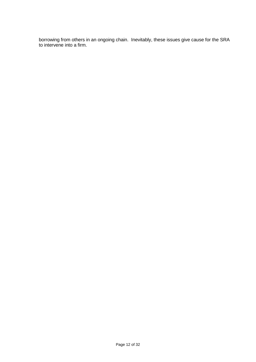borrowing from others in an ongoing chain. Inevitably, these issues give cause for the SRA to intervene into a firm.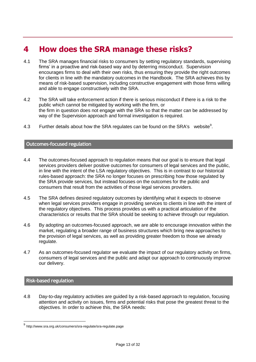# <span id="page-12-0"></span>**4 How does the SRA manage these risks?**

- 4.1 The SRA manages financial risks to consumers by setting regulatory standards, supervising firms' in a proactive and risk-based way and by deterring misconduct. Supervision encourages firms to deal with their own risks, thus ensuring they provide the right outcomes for clients in line with the mandatory outcomes in the Handbook. The SRA achieves this by means of risk-based supervision, including constructive engagement with those firms willing and able to engage constructively with the SRA.
- 4.2 The SRA will take enforcement action if there is serious misconduct if there is a risk to the public which cannot be mitigated by working with the firm, or the firm in question does not engage with the SRA so that the matter can be addressed by way of the Supervision approach and formal investigation is required.
- 4.3 Further details about how the SRA regulates can be found on the SRA's website<sup>9</sup>.

#### **Outcomes-focused regulation**

- 4.4 The outcomes-focused approach to regulation means that our goal is to ensure that legal services providers deliver positive outcomes for consumers of legal services and the public, in line with the intent of the LSA regulatory objectives. This is in contrast to our historical rules-based approach: the SRA no longer focuses on prescribing how those regulated by the SRA provide services, but instead focuses on the outcomes for the public and consumers that result from the activities of those legal services providers.
- 4.5 The SRA defines desired regulatory outcomes by identifying what it expects to observe when legal services providers engage in providing services to clients in line with the intent of the regulatory objectives. This process provides us with a practical articulation of the characteristics or results that the SRA should be seeking to achieve through our regulation.
- 4.6 By adopting an outcomes-focused approach, we are able to encourage innovation within the market, regulating a broader range of business structures which bring new approaches to the provision of legal services, as well as providing greater freedom to those we already regulate.
- 4.7 As an outcomes-focused regulator we evaluate the impact of our regulatory activity on firms, consumers of legal services and the public and adapt our approach to continuously improve our delivery.

# **Risk-based regulation**

4.8 Day-to-day regulatory activities are guided by a risk-based approach to regulation, focusing attention and activity on issues, firms and potential risks that pose the greatest threat to the objectives. In order to achieve this, the SRA needs:

 9 http://www.sra.org.uk/consumers/sra-regulate/sra-regulate.page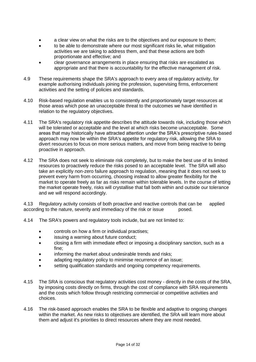- a clear view on what the risks are to the objectives and our exposure to them;
- to be able to demonstrate where our most significant risks lie, what mitigation activities we are taking to address them, and that these actions are both proportionate and effective; and
- clear governance arrangements in place ensuring that risks are escalated as appropriate and that there is accountability for the effective management of risk.
- 4.9 These requirements shape the SRA's approach to every area of regulatory activity, for example authorising individuals joining the profession, supervising firms, enforcement activities and the setting of policies and standards.
- 4.10 Risk-based regulation enables us to consistently and proportionately target resources at those areas which pose an unacceptable threat to the outcomes we have identified in relation to the regulatory objectives.
- 4.11 The SRA's regulatory risk appetite describes the attitude towards risk, including those which will be tolerated or acceptable and the level at which risks become unacceptable. Some areas that may historically have attracted attention under the SRA's prescriptive rules-based approach may now be within the SRA's appetite for regulatory risk, allowing the SRA to divert resources to focus on more serious matters, and move from being reactive to being proactive in approach.
- 4.12 The SRA does not seek to eliminate risk completely, but to make the best use of its limited resources to proactively reduce the risks posed to an acceptable level. The SRA will also take an explicitly non-zero failure approach to regulation, meaning that it does not seek to prevent every harm from occurring, choosing instead to allow greater flexibility for the market to operate freely as far as risks remain within tolerable levels. In the course of letting the market operate freely, risks will crystallise that fall both within and outside our tolerance and we will respond accordingly.

4.13 Regulatory activity consists of both proactive and reactive controls that can be applied according to the nature, severity and immediacy of the risk or issue posed.

- 4.14 The SRA's powers and regulatory tools include, but are not limited to:
	- controls on how a firm or individual practises;
	- issuing a warning about future conduct;
	- closing a firm with immediate effect or imposing a disciplinary sanction, such as a fine;
	- informing the market about undesirable trends and risks:
	- adapting regulatory policy to minimise recurrence of an issue;
	- setting qualification standards and ongoing competency requirements.
- 4.15 The SRA is conscious that regulatory activities cost money directly in the costs of the SRA, by imposing costs directly on firms, through the cost of compliance with SRA requirements and the costs which follow through restricting commercial or competitive activities and choices.
- 4.16 The risk-based approach enables the SRA to be flexible and adaptive to ongoing changes within the market. As new risks to objectives are identified, the SRA will learn more about them and adjust it's priorities to direct resources where they are most needed.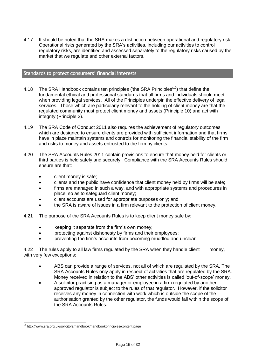4.17 It should be noted that the SRA makes a distinction between operational and regulatory risk. Operational risks generated by the SRA's activities, including our activities to control regulatory risks, are identified and assessed separately to the regulatory risks caused by the market that we regulate and other external factors.

# **Standards to protect consumers' financial interests**

- 4.18 The SRA Handbook contains ten principles ('the SRA Principles'<sup>10</sup>) that define the fundamental ethical and professional standards that all [firms](javascript:handleLink() and individuals should meet when providing legal services. All of the Principles underpin the effective delivery of legal services. Those which are particularly relevant to the holding of client money are that the regulated community must protect client money and assets (Principle 10) and act with integrity (Principle 2).
- 4.19 The SRA Code of Conduct 2011 also requires the achievement of regulatory outcomes which are designed to ensure clients are provided with sufficient information and that firms have in place maintain systems and controls for monitoring the financial stability of the firm and risks to money and assets entrusted to the firm by clients.
- 4.20 The SRA Accounts Rules 2011 contain provisions to ensure that money held for clients or third parties is held safely and securely. Compliance with the SRA Accounts Rules should ensure are that:
	- client money is safe;
	- clients and the public have confidence that client money held by firms will be safe;
	- firms are managed in such a way, and with appropriate systems and procedures in place, so as to safeguard client money;
	- client accounts are used for appropriate purposes only; and
	- the SRA is aware of issues in a firm relevant to the protection of client money.
- 4.21 The purpose of the SRA Accounts Rules is to keep client money safe by:
	- keeping it separate from the firm's own money;
	- protecting against dishonesty by firms and their employees;
	- preventing the firm's accounts from becoming muddled and unclear.

4.22 The rules apply to all law firms regulated by the SRA when they handle client money, with very few exceptions:

- ABS can provide a range of services, not all of which are regulated by the SRA. The SRA Accounts Rules only apply in respect of activities that are regulated by the SRA. Money received in relation to the ABS' other activities is called 'out-of-scope' money.
- A solicitor practising as a manager or employee in a firm regulated by another approved regulator is subject to the rules of that regulator. However, if the solicitor receives any money in connection with work which is outside the scope of the authorisation granted by the other regulator, the funds would fall within the scope of the SRA Accounts Rules.

 <sup>10</sup> http://www.sra.org.uk/solicitors/handbook/handbookprinciples/content.page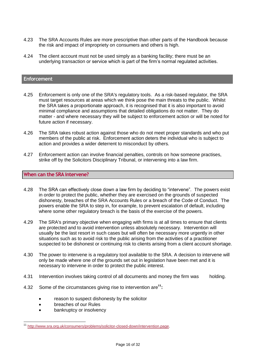- 4.23 The SRA Accounts Rules are more prescriptive than other parts of the Handbook because the risk and impact of impropriety on consumers and others is high.
- 4.24 The client account must not be used simply as a banking facility; there must be an underlying transaction or service which is part of the firm's normal regulated activities.

#### **Enforcement**

- 4.25 Enforcement is only one of the SRA's regulatory tools. As a risk-based regulator, the SRA must target resources at areas which we think pose the main threats to the public. Whilst the SRA takes a proportionate approach, it is recognised that it is also important to avoid minimal compliance and assumptions that detailed obligations do not matter. They do matter - and where necessary they will be subject to enforcement action or will be noted for future action if necessary.
- 4.26 The SRA takes robust action against those who do not meet proper standards and who put members of the public at risk. Enforcement action deters the individual who is subject to action and provides a wider deterrent to misconduct by others.
- 4.27 Enforcement action can involve financial penalties, controls on how someone practises, strike off by the Solicitors Disciplinary Tribunal, or intervening into a law firm.

#### **When can the SRA intervene?**

- 4.28 The SRA can effectively close down a law firm by deciding to "intervene". The powers exist in order to protect the public, whether they are exercised on the grounds of suspected dishonesty, breaches of the SRA Accounts Rules or a breach of the Code of Conduct. The powers enable the SRA to step in, for example, to prevent escalation of default, including where some other regulatory breach is the basis of the exercise of the powers.
- 4.29 The SRA's primary objective when engaging with firms is at all times to ensure that clients are protected and to avoid intervention unless absolutely necessary. Intervention will usually be the last resort in such cases but will often be necessary more urgently in other situations such as to avoid risk to the public arising from the activities of a practitioner suspected to be dishonest or continuing risk to clients arising from a client account shortage.
- 4.30 The power to intervene is a regulatory tool available to the SRA. A decision to intervene will only be made where one of the grounds set out in legislation have been met and it is necessary to intervene in order to protect the public interest.
- 4.31 Intervention involves taking control of all documents and money the firm was holding.
- 4.32 Some of the circumstances giving rise to intervention are**<sup>11</sup>:**
	- reason to suspect dishonesty by the solicitor
	- breaches of our Rules

bankruptcy or insolvency

<sup>&</sup>lt;sup>11</sup> [http://www.sra.org.uk/consumers/problems/solicitor-closed-down/intervention.page.](http://www.sra.org.uk/consumers/problems/solicitor-closed-down/intervention.page)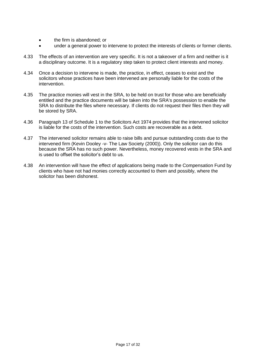- the firm is abandoned; or
- under a general power to intervene to protect the interests of clients or former clients.
- 4.33 The effects of an intervention are very specific. It is not a takeover of a firm and neither is it a disciplinary outcome. It is a regulatory step taken to protect client interests and money.
- 4.34 Once a decision to intervene is made, the practice, in effect, ceases to exist and the solicitors whose practices have been intervened are personally liable for the costs of the intervention.
- 4.35 The practice monies will vest in the SRA, to be held on trust for those who are beneficially entitled and the practice documents will be taken into the SRA's possession to enable the SRA to distribute the files where necessary. If clients do not request their files then they will be stored by SRA.
- 4.36 Paragraph 13 of Schedule 1 to the Solicitors Act 1974 provides that the intervened solicitor is liable for the costs of the intervention. Such costs are recoverable as a debt.
- 4.37 The intervened solicitor remains able to raise bills and pursue outstanding costs due to the intervened firm (Kevin Dooley -v- The Law Society (2000)). Only the solicitor can do this because the SRA has no such power. Nevertheless, money recovered vests in the SRA and is used to offset the solicitor's debt to us.
- 4.38 An intervention will have the effect of applications being made to the Compensation Fund by clients who have not had monies correctly accounted to them and possibly, where the solicitor has been dishonest.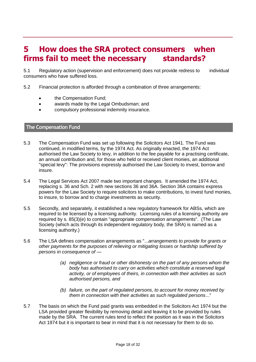# <span id="page-17-0"></span>**5 How does the SRA protect consumers when firms fail to meet the necessary standards?**

5.1 Regulatory action (supervision and enforcement) does not provide redress to individual consumers who have suffered loss.

5.2 Financial protection is afforded through a combination of three arrangements:

- the Compensation Fund;
- awards made by the Legal Ombudsman; and
- compulsory professional indemnity insurance.

#### **The Compensation Fund**

- 5.3 The Compensation Fund was set up following the Solicitors Act 1941. The Fund was continued, in modified terms, by the 1974 Act. As originally enacted, the 1974 Act authorised the Law Society to levy, in addition to the fee payable for a practising certificate, an annual contribution and, for those who held or received client monies, an additional "special levy": The provisions expressly authorised the Law Society to invest, borrow and insure.
- 5.4 The Legal Services Act 2007 made two important changes. It amended the 1974 Act, replacing s. 36 and Sch. 2 with new sections 36 and 36A. Section 36A contains express powers for the Law Society to require solicitors to make contributions, to invest fund monies, to insure, to borrow and to charge investments as security.
- 5.5 Secondly, and separately, it established a new regulatory framework for ABSs, which are required to be licensed by a licensing authority. Licensing rules of a licensing authority are required by s. 85(3)(e) to contain "appropriate compensation arrangements". (The Law Society (which acts through its independent regulatory body, the SRA) is named as a licensing authority.)
- 5.6 The LSA defines compensation arrangements as "...*arrangements to provide for grants or other payments for the purposes of relieving or mitigating losses or hardship suffered by persons in consequence of —*
	- *(a) negligence or fraud or other dishonesty on the part of any persons whom the body has authorised to carry on activities which constitute a reserved legal activity, or of employees of theirs, in connection with their activities as such authorised persons, and*
	- *(b) failure, on the part of regulated persons, to account for money received by them in connection with their activities as such regulated persons*..."
- 5.7 The basis on which the Fund paid grants was embedded in the Solicitors Act 1974 but the LSA provided greater flexibility by removing detail and leaving it to be provided by rules made by the SRA. The current rules tend to reflect the position as it was in the Solicitors Act 1974 but it is important to bear in mind that it is not necessary for them to do so.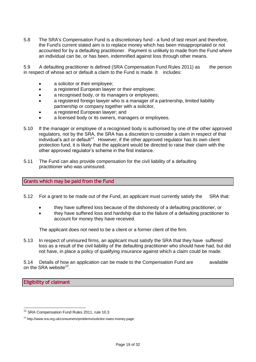5.8 The SRA's Compensation Fund is a discretionary fund - a fund of last resort and therefore, the Fund's current stated aim is to replace money which has been misappropriated or not accounted for by a defaulting practitioner. Payment is unlikely to made from the Fund where an individual can be, or has been, indemnified against loss through other means.

5.9 A defaulting practitioner is defined (SRA Compensation Fund Rules 2011) as the person in respect of whose act or default a claim to the Fund is made. It includes:

- a solicitor or their employee:
- a registered European lawyer or their employee;
- a recognised body, or its managers or employees;
- a registered foreign lawyer who is a manager of a partnership, limited liability partnership or company together with a solicitor,
- a registered European lawyer; and
- a licensed body or its owners, managers or employees.
- 5.10 If the manager or employee of a recognised body is authorised by one of the other approved regulators, not by the SRA, the SRA has a discretion to consider a claim in respect of that  $i$ ndividual's act or default<sup>12</sup>. However, if the other approved regulator has its own client protection fund, it is likely that the applicant would be directed to raise their claim with the other approved regulator's scheme in the first instance.
- 5.11 The Fund can also provide compensation for the civil liability of a defaulting practitioner who was uninsured.

#### **Grants which may be paid from the Fund**

- 5.12 For a grant to be made out of the Fund, an applicant must currently satisfy the SRA that:
	- they have suffered loss because of the dishonesty of a defaulting practitioner, or
	- they have suffered loss and hardship due to the failure of a defaulting practitioner to account for money they have received.

The applicant does not need to be a client or a former client of the firm.

5.13 In respect of uninsured firms, an applicant must satisfy the SRA that they have suffered loss as a result of the civil liability of the defaulting practitioner who should have had, but did not have, in place a policy of qualifying insurance against which a claim could be made.

5.14 Details of how an application can be made to the Compensation Fund are available on the SRA website $^{13}$ .

**Eligibility of claimant**

 $\overline{a}$ 

<sup>&</sup>lt;sup>12</sup> SRA Compensation Fund Rules 2011, rule 10.3

<sup>13</sup> http://www.sra.org.uk/consumers/problems/solicitor-owes-money.page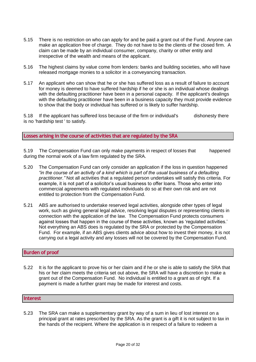- 5.15 There is no restriction on who can apply for and be paid a grant out of the Fund. Anyone can make an application free of charge. They do not have to be the clients of the closed firm. A claim can be made by an individual consumer, company, charity or other entity and irrespective of the wealth and means of the applicant.
- 5.16 The highest claims by value come from lenders: banks and building societies, who will have released mortgage monies to a solicitor in a conveyancing transaction.
- 5.17 An applicant who can show that he or she has suffered loss as a result of failure to account for money is deemed to have suffered hardship if he or she is an individual whose dealings with the [defaulting practitioner](javascript:handleLink() have been in a personal capacity. If the applicant's dealings with the [defaulting practitioner](javascript:handleLink() have been in a business capacity they must provide evidence to show that the body or individual has suffered or is likely to suffer hardship.

5.18 If the applicant has suffered loss because of the firm or individual's dishonesty there is no 'hardship test ' to satisfy.

**Losses arising in the course of activities that are regulated by the SRA**

5.19 The Compensation Fund can only make payments in respect of losses that happened during the normal work of a law firm regulated by the SRA.

- 5.20 The Compensation Fund can only consider an application if the loss in question happened *"in the course of an activity of a kind which is part of the usual business of a [defaulting](javascript:handleLink()  [practitioner.](javascript:handleLink()"* Not all activities that a regulated person undertakes will satisfy this criteria. For example, it is not part of a solicitor's usual business to offer loans. Those who enter into commercial agreements with regulated individuals do so at their own risk and are not entitled to protection from the Compensation Fund.
- 5.21 ABS are authorised to undertake reserved legal activities, alongside other types of legal work, such as giving general legal advice, resolving legal disputes or representing clients in connection with the application of the law. The Compensation Fund protects consumers against losses that happen in the course of these activities, known as 'regulated activities.' Not everything an ABS does is regulated by the SRA or protected by the Compensation Fund. For example, if an ABS gives clients advice about how to invest their money, it is not carrying out a legal activity and any losses will not be covered by the Compensation Fund.

#### **Burden of proof**

5.22 It is for the applicant to prove his or her claim and if he or she is able to satisfy the SRA that his or her claim meets the criteria set out above, the SRA will have a discretion to make a grant out of the Compensation Fund. No individual is entitled to a grant as of right. If a payment is made a further grant may be made for interest and costs.

#### **Interest**

5.23 The SRA can make a supplementary grant by way of a sum in lieu of lost interest on a principal grant at rates prescribed by the SRA. As the grant is a gift it is not subject to tax in the hands of the recipient. Where the application is in respect of a failure to redeem a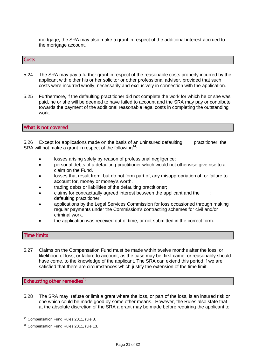mortgage, the SRA may also make a grant in respect of the additional interest accrued to the mortgage account.

#### **Costs**

- 5.24 The SRA may pay a further grant in respect of the reasonable costs properly incurred by the applicant with either his or her solicitor or other professional adviser, provided that such costs were incurred wholly, necessarily and exclusively in connection with the application.
- 5.25 Furthermore, if the defaulting practitioner did not complete the work for which he or she was paid, he or she will be deemed to have failed to account and the SRA may pay or contribute towards the payment of the additional reasonable legal costs in completing the outstanding work.

#### **What is not covered**

5.26 Except for applications made on the basis of an uninsured defaulting practitioner, the SRA will not make a grant in respect of the following<sup>14</sup>:

- losses arising solely by reason of professional negligence;
- personal debts of a defaulting practitioner which would not otherwise give rise to a claim on the Fund.
- losses that result from, but do not form part of, any misappropriation of, or failure to account for, money or money's worth.
- trading debts or liabilities of the defaulting practitioner;
- claims for contractually agreed interest between the applicant and the ; defaulting practitioner;
- applications by the Legal Services Commission for loss occasioned through making regular payments under the Commission's contracting schemes for civil and/or criminal work.
- the application was received out of time, or not submitted in the correct form.

#### **Time limits**

5.27 Claims on the Compensation Fund must be made within twelve months after the loss, or likelihood of loss, or failure to account, as the case may be, first came, or reasonably should have come, to the knowledge of the [applicant.](javascript:handleLink() The SRA can extend this period if we are satisfied that there are circumstances which justify the extension of the time limit.

**Exhausting other remedies**<sup>15</sup>

5.28 The SRA may refuse or limit a grant where the loss, or part of the loss, is an insured risk or one which could be made good by some other means. However, the Rules also state that at the absolute discretion of the SRA a grant may be made before requiring the applicant to

<sup>&</sup>lt;sup>14</sup> Compensation Fund Rules 2011, rule 8.

<sup>&</sup>lt;sup>15</sup> Compensation Fund Rules 2011, rule 13.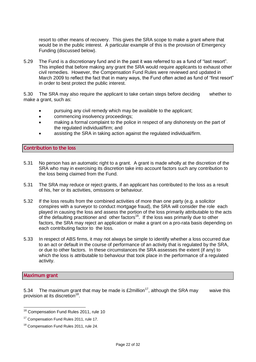resort to other means of recovery. This gives the SRA scope to make a grant where that would be in the public interest. A particular example of this is the provision of Emergency Funding (discussed below).

5.29 The Fund is a discretionary fund and in the past it was referred to as a fund of "last resort". This implied that before making any grant the SRA would require applicants to exhaust other civil remedies. However, the Compensation Fund Rules were reviewed and updated in March 2009 to reflect the fact that in many ways, the Fund often acted as fund of "first resort" in order to best protect the public interest.

5.30 The SRA may also require the applicant to take certain steps before deciding whether to make a grant, such as:

- pursuing any civil remedy which may be available to the applicant;
- commencing insolvency proceedings;
- making a formal complaint to the police in respect of any dishonesty on the part of the regulated individual/firm; and
- assisting the SRA in taking action against the regulated individual/firm.

### **Contribution to the loss**

- 5.31 No person has an automatic right to a grant. A grant is made wholly at the discretion of the SRA who may in exercising its discretion take into account factors such any contribution to the loss being claimed from the Fund.
- 5.31 The SRA may reduce or reject grants, if an applicant has contributed to the loss as a result of his, her or its activities, omissions or behaviour.
- 5.32 If the loss results from the combined activities of more than one party (e.g. a solicitor conspires with a surveyor to conduct mortgage fraud), the [SRA](javascript:handleLink() will consider the role each played in causing the loss and assess the portion of the loss primarily attributable to the acts of the defaulting practitioner and other factors<sup>16</sup>. If the loss was primarily due to other factors, the SRA may reject an application or make a grant on a pro-rata basis depending on each contributing factor to the loss.
- 5.33 In respect of ABS firms, it may not always be simple to identify whether a loss occurred due to an act or default in the course of performance of an activity that is regulated by the SRA, or due to other factors. In these circumstances the SRA assesses the extent (if any) to which the loss is attributable to behaviour that took place in the performance of a [regulated](javascript:handleLink()  [activity.](javascript:handleLink()

#### **Maximum grant**

 $\overline{a}$ 

5.34 The maximum grant that may be made is  $£2$ million<sup>17</sup>, although the SRA may waive this provision at its discretion<sup>18</sup>.

<sup>&</sup>lt;sup>16</sup> Compensation Fund Rules 2011, rule 10

<sup>&</sup>lt;sup>17</sup> Compensation Fund Rules 2011, rule 17.

<sup>&</sup>lt;sup>18</sup> Compensation Fund Rules 2011, rule 24.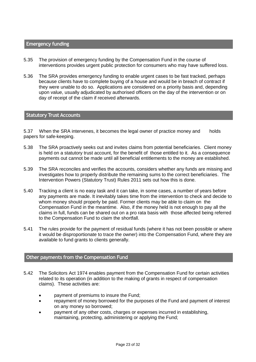#### **Emergency funding**

- 5.35 The provision of emergency funding by the Compensation Fund in the course of interventions provides urgent public protection for consumers who may have suffered loss.
- 5.36 The SRA provides emergency funding to enable urgent cases to be fast tracked, perhaps because clients have to complete buying of a house and would be in breach of contract if they were unable to do so. Applications are considered on a priority basis and, depending upon value, usually adjudicated by authorised officers on the day of the intervention or on day of receipt of the claim if received afterwards.

#### **Statutory Trust Accounts**

5.37 When the SRA intervenes, it becomes the legal owner of practice money and holds papers for safe-keeping.

- 5.38 The SRA proactively seeks out and invites claims from potential beneficiaries. Client money is held on a statutory trust account, for the benefit of those entitled to it. As a consequence payments out cannot be made until all beneficial entitlements to the money are established.
- 5.39 The SRA reconciles and verifies the accounts, considers whether any funds are missing and investigates how to properly distribute the remaining sums to the correct beneficiaries. The Intervention Powers (Statutory Trust) Rules 2011 sets out how this is done.
- 5.40 Tracking a client is no easy task and it can take, in some cases, a number of years before any payments are made. It inevitably takes time from the intervention to check and decide to whom money should properly be paid. Former clients may be able to claim on the Compensation Fund in the meantime. Also, if the money held is not enough to pay all the claims in full, funds can be shared out on a pro rata basis with those affected being referred to the Compensation Fund to claim the shortfall.
- 5.41 The rules provide for the payment of residual funds (where it has not been possible or where it would be disproportionate to trace the owner) into the Compensation Fund, where they are available to fund grants to clients generally.

### **Other payments from the Compensation Fund**

- 5.42 The Solicitors Act 1974 enables payment from the Compensation Fund for certain activities related to its operation (in addition to the making of grants in respect of compensation claims). These activities are:
	- payment of premiums to insure the Fund;
	- repayment of money borrowed for the purposes of the Fund and payment of interest on any money so borrowed;
	- payment of any other costs, charges or expenses incurred in establishing, maintaining, protecting, administering or applying the Fund;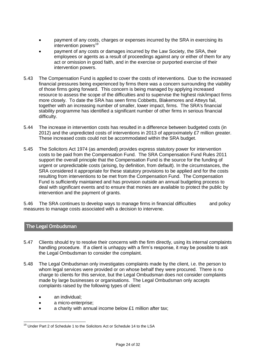- payment of any costs, charges or expenses incurred by the SRA in exercising its intervention powers<sup>19</sup>
- payment of any costs or damages incurred by the [Law](javascript:handleLink() Society, the SRA, their [employees](javascript:handleLink() or agents as a result of proceedings against any or either of them for any act or omission in good faith, and in the exercise or purported exercise of their intervention powers.
- 5.43 The Compensation Fund is applied to cover the costs of interventions. Due to the increased financial pressures being experienced by firms there was a concern surrounding the viability of those firms going forward. This concern is being managed by applying increased resource to assess the scope of the difficulties and to supervise the highest risk/impact firms more closely. To date the SRA has seen firms Cobbetts, Blakemores and Atteys fail, together with an increasing number of smaller, lower impact, firms. The SRA's financial stability programme has identified a significant number of other firms in serious financial difficulty.
- 5.44 The increase in intervention costs has resulted in a difference between budgeted costs (in 2012) and the unpredicted costs of interventions in 2013 of approximately £7 million greater. These increased costs could not be accommodated within the SRA budget.
- 5.45 The Solicitors Act 1974 (as amended) provides express statutory power for intervention costs to be paid from the Compensation Fund. The SRA Compensation Fund Rules 2011 support the overall principle that the Compensation Fund is the source for the funding of urgent or unpredictable costs (arising, by definition, from default). In the circumstances, the SRA considered it appropriate for these statutory provisions to be applied and for the costs resulting from interventions to be met from the Compensation Fund. The Compensation Fund is sufficiently maintained and has provision outside an annual budgeting process to deal with significant events and to ensure that monies are available to protect the public by intervention and the payment of grants.

5.46 The SRA continues to develop ways to manage firms in financial difficulties and policy measures to manage costs associated with a decision to intervene.

# **The Legal Ombudsman**

- 5.47 Clients should try to resolve their concerns with the firm directly, using its internal complaints handling procedure. If a client is unhappy with a firm's response, it may be possible to ask the Legal Ombudsman to consider the complaint.
- 5.48 The Legal Ombudsman only investigates complaints made by the client, i.e. the person to whom legal services were provided or on whose behalf they were procured. There is no charge to clients for this service, but the Legal Ombudsman does not consider complaints made by large businesses or organisations. The Legal Ombudsman only accepts complaints raised by the following types of client:
	- an individual:

- a micro-enterprise;
- a charity with annual income below £1 million after tax;

<sup>&</sup>lt;sup>19</sup> Under Part 2 of Schedule 1 to the [Solicitors](javascript:handleLink() Act or Schedule 14 to the [LSA](javascript:handleLink()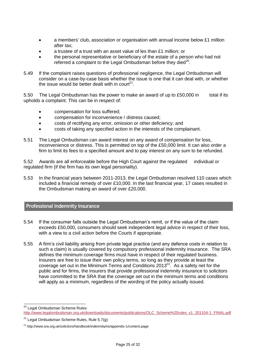- a members' club, association or organisation with annual income below £1 million after tax;
- a trustee of a trust with an asset value of les than £1 million; or
- the personal representative or beneficiary of the estate of a person who had not referred a complaint to the Legal Ombudsman before they died $^{20}$ .
- 5.49 If the complaint raises questions of professional negligence, the Legal Ombudsman will consider on a case-by-case basis whether the issue is one that it can deal with, or whether the issue would be better dealt with in court<sup>21</sup>.

5.50 The Legal Ombudsman has the power to make an award of up to £50,000 in total if its upholds a complaint. This can be in respect of:

- compensation for loss suffered;
- compensation for inconvenience / distress caused;
- costs of rectifying any error, omission or other deficiency; and
- costs of taking any specified action in the interests of the complainant.
- 5.51 The Legal Ombudsman can award interest on any award of compensation for loss, inconvenience or distress. This is permitted on top of the £50,000 limit. It can also order a firm to limit its fees to a specified amount and to pay interest on any sum to be refunded.

5.52 Awards are all enforceable before the High Court against the regulated individual or regulated firm (if the firm has its own legal personality).

5.53 In the financial years between 2011-2013, the Legal Ombudsman resolved 110 cases which included a financial remedy of over £10,000. In the last financial year, 17 cases resulted in the Ombudsman making an award of over £20,000.

#### **Professional indemnity insurance**

- 5.54 If the consumer falls outside the Legal Ombudsman's remit, or if the value of the claim exceeds £50,000, consumers should seek independent legal advice in respect of their loss, with a view to a civil action before the Courts if appropriate.
- 5.55 A firm's civil liability arising from private legal practice (and any defence costs in relation to such a claim) is usually covered by compulsory professional indemnity insurance. The SRA defines the minimum coverage firms must have in respect of their regulated business. Insurers are free to issue their own policy terms, so long as they provide at least the coverage set out in the Minimum Terms and Conditions  $2013^{22}$ . As a safety net for the public and for firms, the insurers that provide professional indemnity insurance to solicitors have committed to the SRA that the coverage set out in the minimum terms and conditions will apply as a minimum, regardless of the wording of the policy actually issued.

 <sup>20</sup> Legal Ombudsman Scheme Rules: [http://www.legalombudsman.org.uk/downloads/documents/publications/OLC\\_Scheme%20rules\\_v1\\_201104-1\\_FINAL.pdf](http://www.legalombudsman.org.uk/downloads/documents/publications/OLC_Scheme%20rules_v1_201104-1_FINAL.pdf)

 $21$  Legal Ombudsman Scheme Rules, Rule 5.7(g)

<sup>&</sup>lt;sup>22</sup> http://www.sra.org.uk/solicitors/handbook/indemnityins/appendix-1/content.page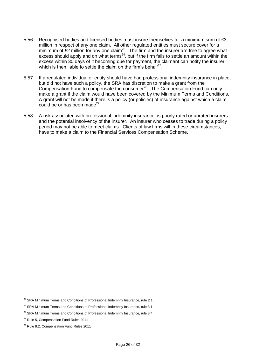- 5.56 Recognised bodies and licensed bodies must insure themselves for a minimum sum of £3 million in respect of any one claim. All other regulated entities must secure cover for a minimum of £2 million for any one claim<sup>23</sup>. The firm and the insurer are free to agree what excess should apply and on what terms<sup>24</sup>, but if the firm fails to settle an amount within the excess within 30 days of it becoming due for payment, the claimant can notify the insurer, which is then liable to settle the claim on the firm's behalf<sup>25</sup>.
- 5.57 If a regulated individual or entity should have had professional indemnity insurance in place, but did not have such a policy, the SRA has discretion to make a grant from the Compensation Fund to compensate the consumer<sup>26</sup>. The Compensation Fund can only make a grant if the claim would have been covered by the Minimum Terms and Conditions. A grant will not be made if there is a policy (or policies) of insurance against which a claim could be or has been made $^{27}$ .
- 5.58 A risk associated with professional indemnity insurance, is poorly rated or unrated insurers and the potential insolvency of the insurer. An insurer who ceases to trade during a policy period may not be able to meet claims. Clients of law firms will in these circumstances, have to make a claim to the Financial Services Compensation Scheme.

 $\overline{a}$ 

 $^{23}$  SRA Minimum Terms and Conditions of Professional Indemnity Insurance, rule 2.1

<sup>&</sup>lt;sup>24</sup> SRA Minimum Terms and Conditions of Professional Indemnity Insurance, rule 3.1

 $25$  SRA Minimum Terms and Conditions of Professional Indemnity Insurance, rule 3.4

<sup>&</sup>lt;sup>26</sup> Rule 5, Compensation Fund Rules 2011

<sup>&</sup>lt;sup>27</sup> Rule 8.2, Compensation Fund Rules 2011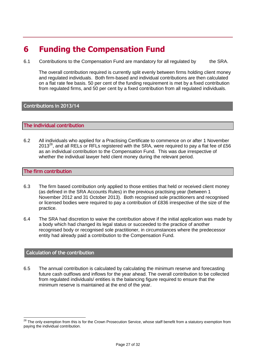# <span id="page-26-0"></span>**6 Funding the Compensation Fund**

6.1 Contributions to the Compensation Fund are mandatory for all regulated by the SRA.

The overall contribution required is currently split evenly between firms holding client money and regulated individuals. Both firm-based and individual contributions are then calculated on a flat rate fee basis. 50 per cent of the funding requirement is met by a fixed contribution from regulated firms, and 50 per cent by a fixed contribution from all regulated individuals.

# **Contributions in 2013/14**

#### **The individual contribution**

6.2 All individuals who applied for a Practising Certificate to commence on or after 1 November 2013<sup>28</sup>, and all RELs or RFLs registered with the SRA, were required to pay a flat fee of £56 as an individual contribution to the Compensation Fund. This was due irrespective of whether the individual lawyer held client money during the relevant period.

#### **The firm contribution**

- 6.3 The firm based contribution only applied to those entities that held or received client money (as defined in the SRA Accounts Rules) in the previous practising year (between 1 November 2012 and 31 October 2013). Both recognised sole practitioners and recognised or licensed bodies were required to pay a contribution of £836 irrespective of the size of the practice.
- 6.4 The SRA had discretion to waive the contribution above if the initial application was made by a body which had changed its legal status or succeeded to the practice of another recognised body or recognised sole practitioner, in circumstances where the predecessor entity had already paid a contribution to the Compensation Fund.

### **Calculation of the contribution**

6.5 The annual contribution is calculated by calculating the minimum reserve and forecasting future cash outflows and inflows for the year ahead. The overall contribution to be collected from regulated individuals/ entities is the balancing figure required to ensure that the minimum reserve is maintained at the end of the year.

<sup>&</sup>lt;sup>28</sup> The only exemption from this is for the Crown Prosecution Service, whose staff benefit from a statutory exemption from paying the individual contribution.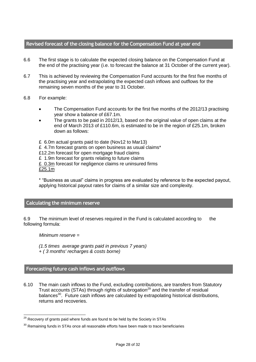### **Revised forecast of the closing balance for the Compensation Fund at year end**

- 6.6 The first stage is to calculate the expected closing balance on the Compensation Fund at the end of the practising year (i.e. to forecast the balance at 31 October of the current year).
- 6.7 This is achieved by reviewing the Compensation Fund accounts for the first five months of the practising year and extrapolating the expected cash inflows and outflows for the remaining seven months of the year to 31 October.
- 6.8 For example:
	- The Compensation Fund accounts for the first five months of the 2012/13 practising year show a balance of £67.1m.
	- The grants to be paid in 2012/13, based on the original value of open claims at the end of March 2013 of £110.6m, is estimated to be in the region of £25.1m, broken down as follows:
	- £ 6.0m actual grants paid to date (Nov12 to Mar13)
	- £ 4.7m forecast grants on open business as usual claims\*
	- £12.2m forecast for open mortgage fraud claims
	- £ 1.9m forecast for grants relating to future claims
	- £ 0.3m forecast for negligence claims re uninsured firms

 $E25.1m$ 

\* "Business as usual" claims in progress are evaluated by reference to the expected payout, applying historical payout rates for claims of a similar size and complexity.

#### **Calculating the minimum reserve**

6.9 The minimum level of reserves required in the Fund is calculated according to the following formula:

*Minimum reserve =* 

*(1.5 times average grants paid in previous 7 years) + ( 3 months' recharges & costs borne)*

# **Forecasting future cash inflows and outflows**

6.10 The main cash inflows to the Fund, excluding contributions, are transfers from Statutory Trust accounts (STAs) through rights of subrogation<sup>29</sup> and the transfer of residual balances<sup>30</sup>. Future cash inflows are calculated by extrapolating historical distributions, returns and recoveries.

  $^{29}$  Recovery of grants paid where funds are found to be held by the Society in STAs

 $30$  Remaining funds in STAs once all reasonable efforts have been made to trace beneficiaries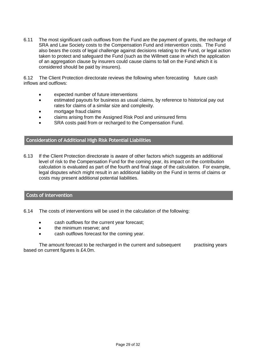6.11 The most significant cash outflows from the Fund are the payment of grants, the recharge of SRA and Law Society costs to the Compensation Fund and intervention costs. The Fund also bears the costs of legal challenge against decisions relating to the Fund, or legal action taken to protect and safeguard the Fund (such as the Willmett case in which the application of an aggregation clause by insurers could cause claims to fall on the Fund which it is considered should be paid by insurers).

6.12 The Client Protection directorate reviews the following when forecasting future cash inflows and outflows:

- expected number of future interventions
- estimated payouts for business as usual claims, by reference to historical pay out rates for claims of a similar size and complexity.
- mortgage fraud claims
- claims arising from the Assigned Risk Pool and uninsured firms
- SRA costs paid from or recharged to the Compensation Fund.

# **Consideration of Additional High Risk Potential Liabilities**

6.13 If the Client Protection directorate is aware of other factors which suggests an additional level of risk to the Compensation Fund for the coming year, its impact on the contribution calculation is evaluated as part of the fourth and final stage of the calculation. For example, legal disputes which might result in an additional liability on the Fund in terms of claims or costs may present additional potential liabilities.

### **Costs of intervention**

- 6.14 The costs of interventions will be used in the calculation of the following:
	- cash outflows for the current year forecast;
	- the minimum reserve; and
	- cash outflows forecast for the coming year.

The amount forecast to be recharged in the current and subsequent practising years based on current figures is £4.0m.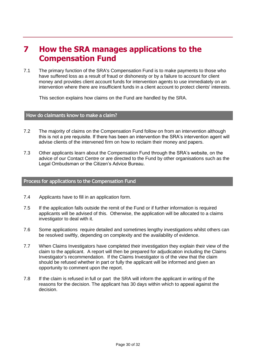# <span id="page-29-0"></span>**7 How the SRA manages applications to the Compensation Fund**

7.1 The primary function of the SRA's Compensation Fund is to make payments to those who have suffered loss as a result of fraud or dishonesty or by a failure to account for client money and provides client account funds for intervention agents to use immediately on an intervention where there are insufficient funds in a client account to protect clients' interests.

This section explains how claims on the Fund are handled by the SRA.

#### **How do claimants know to make a claim?**

- 7.2 The majority of claims on the Compensation Fund follow on from an intervention although this is not a pre requisite. If there has been an intervention the SRA's intervention agent will advise clients of the intervened firm on how to reclaim their money and papers.
- 7.3 Other applicants learn about the Compensation Fund through the SRA's website, on the advice of our Contact Centre or are directed to the Fund by other organisations such as the Legal Ombudsman or the Citizen's Advice Bureau.

#### **Process for applications to the Compensation Fund**

- 7.4 Applicants have to fill in an application form.
- 7.5 If the application falls outside the remit of the Fund or if further information is required applicants will be advised of this. Otherwise, the application will be allocated to a claims investigator to deal with it.
- 7.6 Some applications require detailed and sometimes lengthy investigations whilst others can be resolved swiftly, depending on complexity and the availability of evidence.
- 7.7 When Claims Investigators have completed their investigation they explain their view of the claim to the applicant. A report will then be prepared for adjudication including the Claims Investigator's recommendation. If the Claims Investigator is of the view that the claim should be refused whether in part or fully the applicant will be informed and given an opportunity to comment upon the report.
- 7.8 If the claim is refused in full or part the SRA will inform the applicant in writing of the reasons for the decision. The applicant has 30 days within which to appeal against the decision.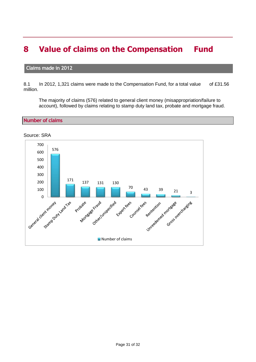# <span id="page-30-0"></span>**8 Value of claims on the Compensation Fund**

### **Claims made in 2012**

8.1 In 2012, 1,321 claims were made to the Compensation Fund, for a total value of £31.56 million.

The majority of claims (576) related to general client money (misappropriation/failure to account), followed by claims relating to stamp duty land tax, probate and mortgage fraud.

**Number of claims**

Source: SRA